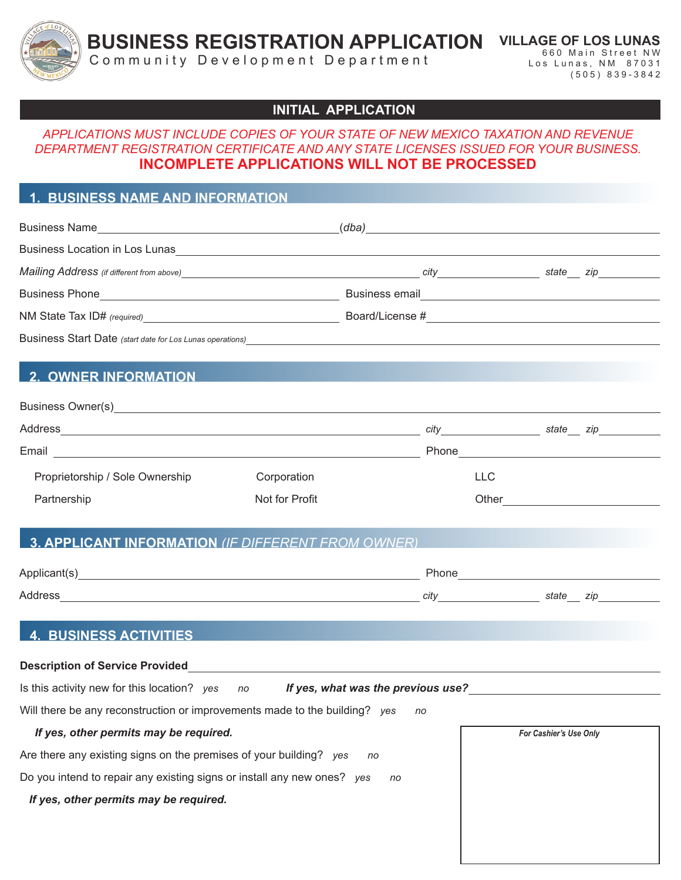**BUSINESS REGISTRATION APPLICATION VILLAGE OF LOS LUNAS**

Community Development Department

660 Main Street NW Los Lunas, NM 87031 (505) 839-3842

## **INITIAL APPLICATION**

#### *APPLICATIONS MUST INCLUDE COPIES OF YOUR STATE OF NEW MEXICO TAXATION AND REVENUE DEPARTMENT REGISTRATION CERTIFICATE AND ANY STATE LICENSES ISSUED FOR YOUR BUSINESS.* **INCOMPLETE APPLICATIONS WILL NOT BE PROCESSED**

### **1. BUSINESS NAME AND INFORMATION**

| <b>Business Name</b>                                      | (dba)                 |
|-----------------------------------------------------------|-----------------------|
| <b>Business Location in Los Lunas</b>                     |                       |
| Mailing Address (if different from above)                 | city<br>state<br>zip  |
| <b>Business Phone</b>                                     | <b>Business email</b> |
| NM State Tax ID# (required)                               | Board/License #       |
| Business Start Date (start date for Los Lunas operations) |                       |

### **2. OWNER INFORMATION**

| Business Owner(s)               |                |            |              |
|---------------------------------|----------------|------------|--------------|
| Address                         |                | city       | state<br>zip |
| Email                           |                | Phone      |              |
| Proprietorship / Sole Ownership | Corporation    | <b>LLC</b> |              |
| Partnership                     | Not for Profit | Other      |              |

#### **3. APPLICANT INFORMATION** *(IF DIFFERENT FROM OWNER)*

| Applicant(s) | Phone |              |
|--------------|-------|--------------|
| Address      | city  | zip<br>state |

### **4. BUSINESS ACTIVITIES**

| <b>Description of Service Provided</b>                                                  |                        |
|-----------------------------------------------------------------------------------------|------------------------|
| If yes, what was the previous use?<br>Is this activity new for this location? yes<br>no |                        |
| Will there be any reconstruction or improvements made to the building? yes<br>no        |                        |
| If yes, other permits may be required.                                                  | For Cashier's Use Only |
| Are there any existing signs on the premises of your building? yes<br>no                |                        |
| Do you intend to repair any existing signs or install any new ones? yes<br>no           |                        |

#### *If yes, other permits may be required.*